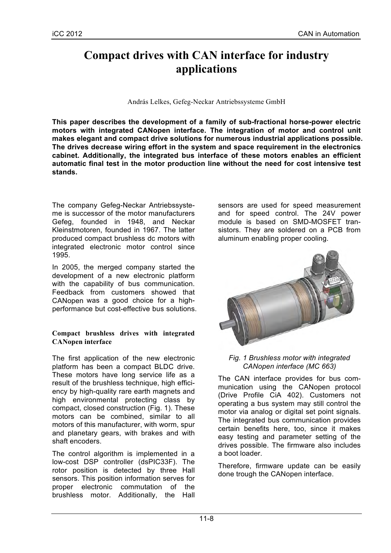# **Compact drives with CAN interface for industry applications**

András Lelkes, Gefeg-Neckar Antriebssysteme GmbH

**This paper describes the development of a family of sub-fractional horse-power electric motors with integrated CANopen interface. The integration of motor and control unit makes elegant and compact drive solutions for numerous industrial applications possible. The drives decrease wiring effort in the system and space requirement in the electronics cabinet. Additionally, the integrated bus interface of these motors enables an efficient automatic final test in the motor production line without the need for cost intensive test stands.**

The company Gefeg-Neckar Antriebssysteme is successor of the motor manufacturers Gefeg, founded in 1948, and Neckar Kleinstmotoren, founded in 1967. The latter produced compact brushless dc motors with integrated electronic motor control since 1995.

In 2005, the merged company started the development of a new electronic platform with the capability of bus communication. Feedback from customers showed that CANopen was a good choice for a highperformance but cost-effective bus solutions.

## **Compact brushless drives with integrated CANopen interface**

The first application of the new electronic platform has been a compact BLDC drive. These motors have long service life as a result of the brushless technique, high efficiency by high-quality rare earth magnets and high environmental protecting class by compact, closed construction (Fig. 1). These motors can be combined, similar to all motors of this manufacturer, with worm, spur and planetary gears, with brakes and with shaft encoders.

The control algorithm is implemented in a low-cost DSP controller (dsPIC33F). The rotor position is detected by three Hall sensors. This position information serves for proper electronic commutation of the brushless motor. Additionally, the Hall

sensors are used for speed measurement and for speed control. The 24V power module is based on SMD-MOSFET transistors. They are soldered on a PCB from aluminum enabling proper cooling.



## *Fig. 1 Brushless motor with integrated CANopen interface (MC 663)*

The CAN interface provides for bus communication using the CANopen protocol (Drive Profile CiA 402). Customers not operating a bus system may still control the motor via analog or digital set point signals. The integrated bus communication provides certain benefits here, too, since it makes easy testing and parameter setting of the drives possible. The firmware also includes a boot loader.

Therefore, firmware update can be easily done trough the CANopen interface.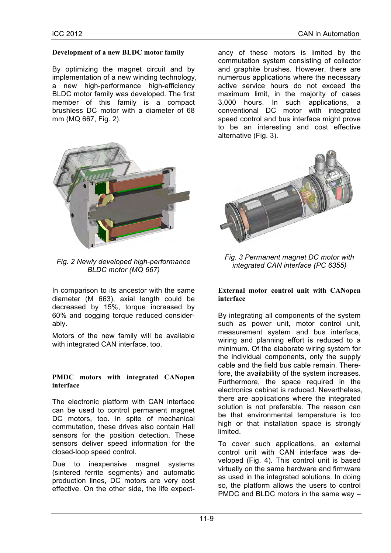## **Development of a new BLDC motor family**

By optimizing the magnet circuit and by implementation of a new winding technology, a new high-performance high-efficiency BLDC motor family was developed. The first member of this family is a compact brushless DC motor with a diameter of 68 mm (MQ 667, Fig. 2).



*Fig. 2 Newly developed high-performance BLDC motor (MQ 667)*

In comparison to its ancestor with the same diameter (M 663), axial length could be decreased by 15%, torque increased by 60% and cogging torque reduced considerably.

Motors of the new family will be available with integrated CAN interface, too.

#### **PMDC motors with integrated CANopen interface**

The electronic platform with CAN interface can be used to control permanent magnet DC motors, too. In spite of mechanical commutation, these drives also contain Hall sensors for the position detection. These sensors deliver speed information for the closed-loop speed control.

Due to inexpensive magnet systems (sintered ferrite segments) and automatic production lines, DC motors are very cost effective. On the other side, the life expectancy of these motors is limited by the commutation system consisting of collector and graphite brushes. However, there are numerous applications where the necessary active service hours do not exceed the maximum limit, in the majority of cases 3,000 hours. In such applications, a conventional DC motor with integrated speed control and bus interface might prove to be an interesting and cost effective alternative (Fig. 3).



*Fig. 3 Permanent magnet DC motor with integrated CAN interface (PC 6355)*

#### **External motor control unit with CANopen interface**

By integrating all components of the system such as power unit, motor control unit, measurement system and bus interface, wiring and planning effort is reduced to a minimum. Of the elaborate wiring system for the individual components, only the supply cable and the field bus cable remain. Therefore, the availability of the system increases. Furthermore, the space required in the electronics cabinet is reduced. Nevertheless, there are applications where the integrated solution is not preferable. The reason can be that environmental temperature is too high or that installation space is strongly limited.

To cover such applications, an external control unit with CAN interface was developed (Fig. 4). This control unit is based virtually on the same hardware and firmware as used in the integrated solutions. In doing so, the platform allows the users to control PMDC and BLDC motors in the same way –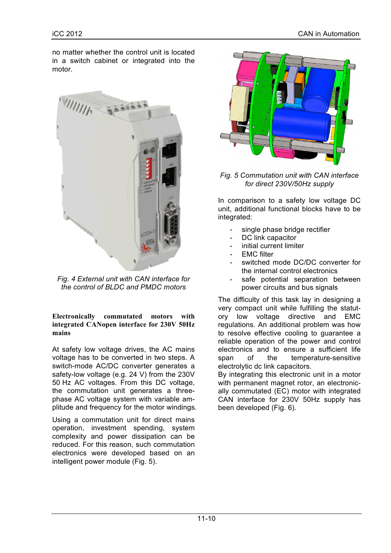no matter whether the control unit is located in a switch cabinet or integrated into the motor.



*Fig. 4 External unit with CAN interface for the control of BLDC and PMDC motors*

**Electronically commutated motors with integrated CANopen interface for 230V 50Hz mains**

At safety low voltage drives, the AC mains voltage has to be converted in two steps. A switch-mode AC/DC converter generates a safety-low voltage (e.g. 24 V) from the 230V 50 Hz AC voltages. From this DC voltage, the commutation unit generates a threephase AC voltage system with variable amplitude and frequency for the motor windings.

Using a commutation unit for direct mains operation, investment spending, system complexity and power dissipation can be reduced. For this reason, such commutation electronics were developed based on an intelligent power module (Fig. 5).



*Fig. 5 Commutation unit with CAN interface for direct 230V/50Hz supply*

In comparison to a safety low voltage DC unit, additional functional blocks have to be integrated:

- single phase bridge rectifier
- DC link capacitor
- initial current limiter
- EMC filter
- switched mode DC/DC converter for the internal control electronics
- safe potential separation between power circuits and bus signals

The difficulty of this task lay in designing a very compact unit while fulfilling the statutory low voltage directive and EMC regulations. An additional problem was how to resolve effective cooling to guarantee a reliable operation of the power and control electronics and to ensure a sufficient life span of the temperature-sensitive electrolytic dc link capacitors.

By integrating this electronic unit in a motor with permanent magnet rotor, an electronically commutated (EC) motor with integrated CAN interface for 230V 50Hz supply has been developed (Fig. 6).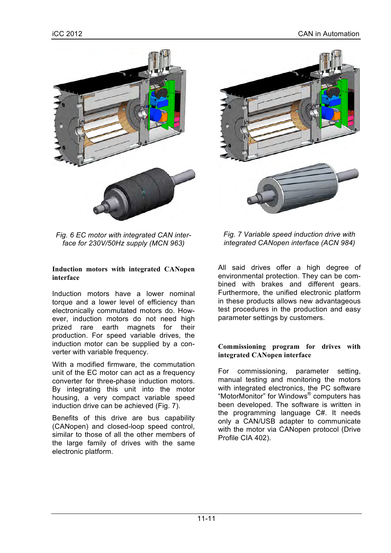



#### **Induction motors with integrated CANopen interface**

Induction motors have a lower nominal torque and a lower level of efficiency than electronically commutated motors do. However, induction motors do not need high prized rare earth magnets for their production. For speed variable drives, the induction motor can be supplied by a converter with variable frequency.

With a modified firmware, the commutation unit of the EC motor can act as a frequency converter for three-phase induction motors. By integrating this unit into the motor housing, a very compact variable speed induction drive can be achieved (Fig. 7).

Benefits of this drive are bus capability (CANopen) and closed-loop speed control, similar to those of all the other members of the large family of drives with the same electronic platform.



# *Fig. 7 Variable speed induction drive with integrated CANopen interface (ACN 984)*

All said drives offer a high degree of environmental protection. They can be combined with brakes and different gears. Furthermore, the unified electronic platform in these products allows new advantageous test procedures in the production and easy parameter settings by customers.

#### **Commissioning program for drives with integrated CANopen interface**

For commissioning, parameter setting, manual testing and monitoring the motors with integrated electronics, the PC software "MotorMonitor" for Windows® computers has been developed. The software is written in the programming language C#. It needs only a CAN/USB adapter to communicate with the motor via CANopen protocol (Drive Profile CIA 402).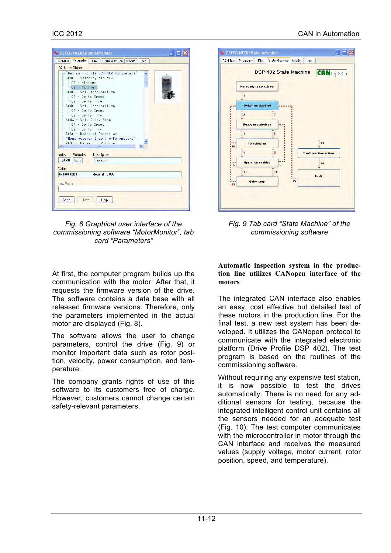

*Fig. 8 Graphical user interface of the commissioning software "MotorMonitor", tab card "Parameters"*

At first, the computer program builds up the communication with the motor. After that, it requests the firmware version of the drive. The software contains a data base with all released firmware versions. Therefore, only the parameters implemented in the actual motor are displayed (Fig. 8).

The software allows the user to change parameters, control the drive (Fig. 9) or monitor important data such as rotor position, velocity, power consumption, and temperature.

The company grants rights of use of this software to its customers free of charge. However, customers cannot change certain safety-relevant parameters.



*Fig. 9 Tab card "State Machine" of the commissioning software*

**Automatic inspection system in the production line utilizes CANopen interface of the motors**

The integrated CAN interface also enables an easy, cost effective but detailed test of these motors in the production line. For the final test, a new test system has been developed. It utilizes the CANopen protocol to communicate with the integrated electronic platform (Drive Profile DSP 402). The test program is based on the routines of the commissioning software.

Without requiring any expensive test station, it is now possible to test the drives automatically. There is no need for any additional sensors for testing, because the integrated intelligent control unit contains all the sensors needed for an adequate test (Fig. 10). The test computer communicates with the microcontroller in motor through the CAN interface and receives the measured values (supply voltage, motor current, rotor position, speed, and temperature).